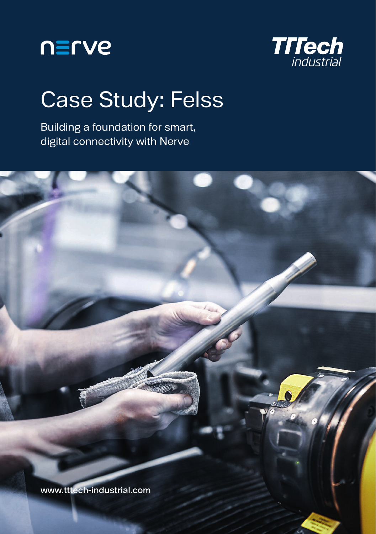



## Case Study: Felss

Building a foundation for smart, digital connectivity with Nerve